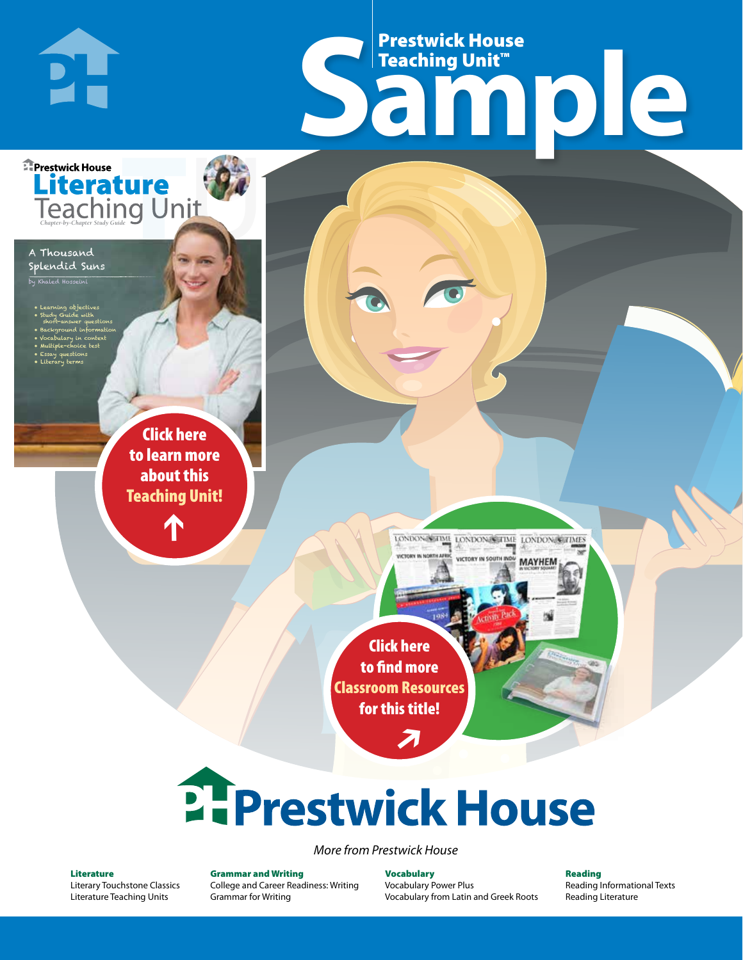## Frestwick House<br>
Sample **Prestwick House**<br>Teaching Unit<sup>\*\*</sup> Teaching Unit™

LONDON-SCITME LONDON/SCITME LONDON/SCITMES

MAYHEM

Splendid Suns  $\overline{\phantom{a}}$ 

**PH** 

A Thousand

**E** Prestwick House

• Learning objectives • Study Guide with short-answer questions • Background information • Vocabulary in context

• Multiple-choice test • Essay questions • Literary terms

CHARLES DICKENS

**A Tale of Two Cities**

**Literature** 

r e o r d e r n o . x x x x x x Click here to learn more about this [Teaching Unit!](https://www.prestwickhouse.com/pdf/id-305296/Thousand_Splendid_Suns_A_-_Downloadable_Teaching_Unit)

 $\mathbf{T}$ 

1

Click here to find more [Classroom Resources](http://teaching-english.prestwickhouse.com/search#w=a%20thousand%20splendid%20suns)  for this title!

 $\overline{\boldsymbol{\lambda}}$ 

# **2. Prestwick House**

*More from Prestwick House*

#### Literature

[Literary Touchstone Classics](https://www.prestwickhouse.com/literary-touchstone-classics) [Literature Teaching Units](https://www.prestwickhouse.com/teaching-units)

Grammar and Writing [College and Career Readiness: Writing](https://www.prestwickhouse.com/college-and-career-readiness-writing) [Grammar for Writing](https://www.prestwickhouse.com/book/id-302639/Grammar_for_Writing_-_30_Books_and_Teachers_Edition)

Vocabulary [Vocabulary Power Plus](https://www.prestwickhouse.com/vocabulary-power-plus-for-college-and-career-readiness) [Vocabulary from Latin and Greek Roots](https://www.prestwickhouse.com/vocabulary-from-latin-and-greek-roots) Reading

[Reading Informational Texts](https://www.prestwickhouse.com/reading-informational-texts) [Reading Literature](https://www.prestwickhouse.com/reading-literature)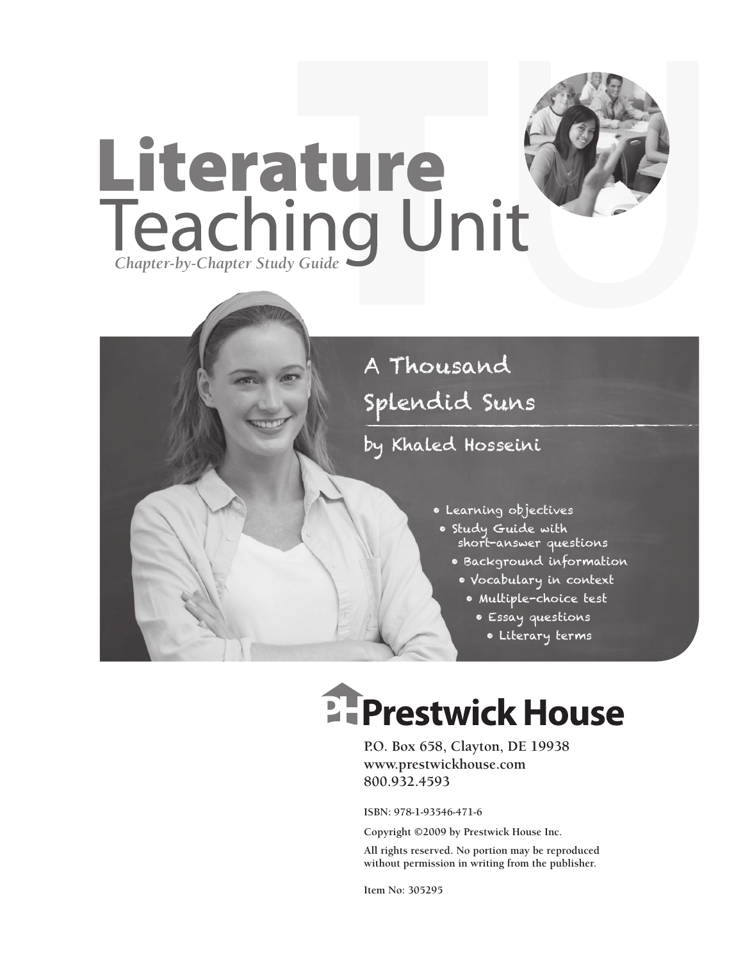

## A Thousand Splendid Suns

## by Khaled Hosseini

- Learning objectives
- Study Guide with short-answer questions
	- Background information
	- Vocabulary in context
		- Multiple-choice test
			- Essay questions
				- Literary terms

## **Ellergetwick House**

**P.O. Box 658, Clayton, DE 19938 www.prestwickhouse.com 800.932.4593**

**ISBN: 978-1-93546-471-6**

**Copyright ©2009 by Prestwick House Inc.**

**All rights reserved. No portion may be reproduced without permission in writing from the publisher.** 

**Item No: 305295**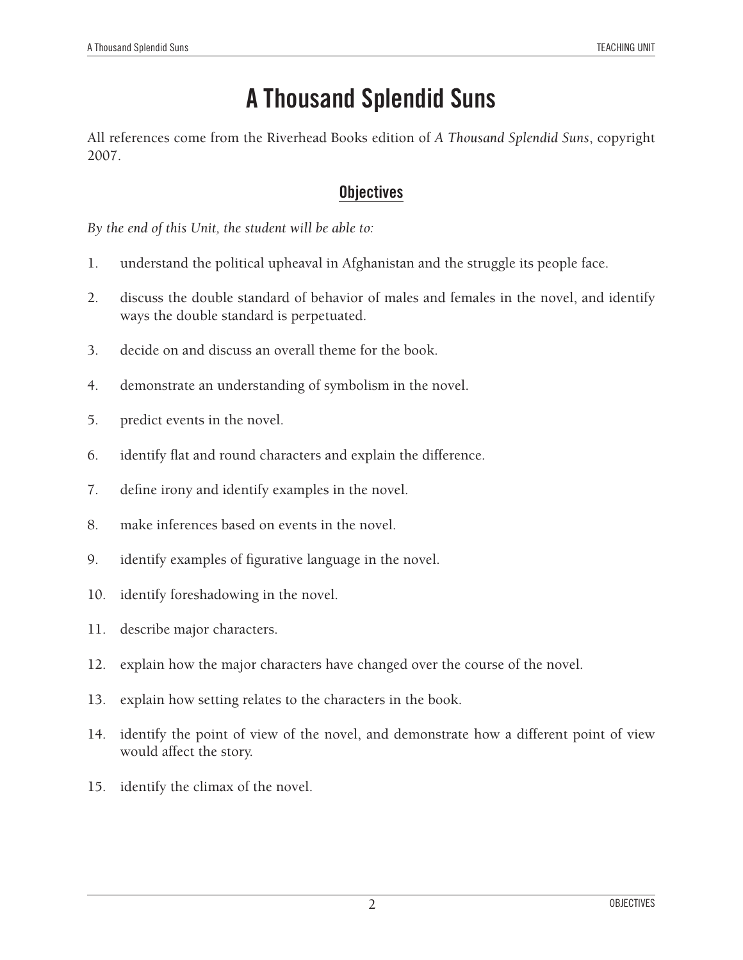## **A Thousand Splendid Suns**

All references come from the Riverhead Books edition of *A Thousand Splendid Suns*, copyright 2007.

#### **Objectives**

*By the end of this Unit, the student will be able to:*

- 1. understand the political upheaval in Afghanistan and the struggle its people face.
- 2. discuss the double standard of behavior of males and females in the novel, and identify ways the double standard is perpetuated.
- 3. decide on and discuss an overall theme for the book.
- 4. demonstrate an understanding of symbolism in the novel.
- 5. predict events in the novel.
- 6. identify flat and round characters and explain the difference.
- 7. define irony and identify examples in the novel.
- 8. make inferences based on events in the novel.
- 9. identify examples of figurative language in the novel.
- 10. identify foreshadowing in the novel.
- 11. describe major characters.
- 12. explain how the major characters have changed over the course of the novel.
- 13. explain how setting relates to the characters in the book.
- 14. identify the point of view of the novel, and demonstrate how a different point of view would affect the story.
- 15. identify the climax of the novel.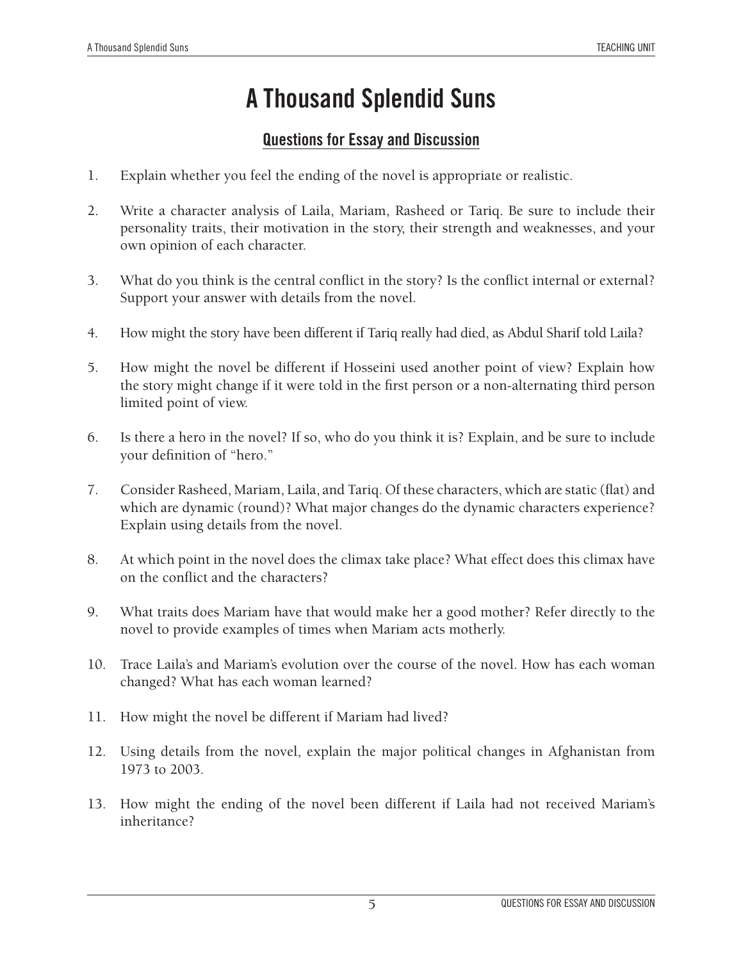## **A Thousand Splendid Suns**

#### **Questions for Essay and Discussion**

- 1. Explain whether you feel the ending of the novel is appropriate or realistic.
- 2. Write a character analysis of Laila, Mariam, Rasheed or Tariq. Be sure to include their personality traits, their motivation in the story, their strength and weaknesses, and your own opinion of each character.
- 3. What do you think is the central conflict in the story? Is the conflict internal or external? Support your answer with details from the novel.
- 4. How might the story have been different if Tariq really had died, as Abdul Sharif told Laila?
- 5. How might the novel be different if Hosseini used another point of view? Explain how the story might change if it were told in the first person or a non-alternating third person limited point of view.
- 6. Is there a hero in the novel? If so, who do you think it is? Explain, and be sure to include your definition of "hero."
- 7. Consider Rasheed, Mariam, Laila, and Tariq. Of these characters, which are static (flat) and which are dynamic (round)? What major changes do the dynamic characters experience? Explain using details from the novel.
- 8. At which point in the novel does the climax take place? What effect does this climax have on the conflict and the characters?
- 9. What traits does Mariam have that would make her a good mother? Refer directly to the novel to provide examples of times when Mariam acts motherly.
- 10. Trace Laila's and Mariam's evolution over the course of the novel. How has each woman changed? What has each woman learned?
- 11. How might the novel be different if Mariam had lived?
- 12. Using details from the novel, explain the major political changes in Afghanistan from 1973 to 2003.
- 13. How might the ending of the novel been different if Laila had not received Mariam's inheritance?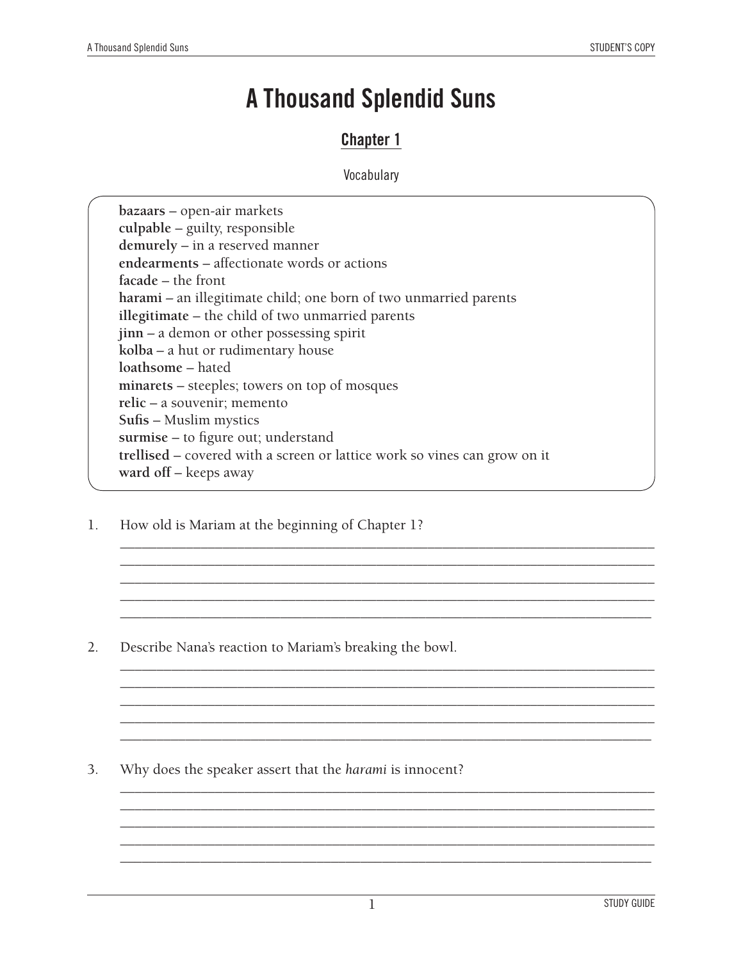## **A Thousand Splendid Suns**

### **Chapter 1**

#### **Vocabulary**

**bazaars** – open-air markets **culpable** – guilty, responsible **demurely** – in a reserved manner **endearments** – affectionate words or actions **facade** – the front **harami** *–* an illegitimate child; one born of two unmarried parents **illegitimate** – the child of two unmarried parents **jinn** *–* a demon or other possessing spirit **kolba** *–* a hut or rudimentary house **loathsome** – hated **minarets** – steeples; towers on top of mosques **relic** – a souvenir; memento **Sufis** – Muslim mystics **surmise** – to figure out; understand **trellised** – covered with a screen or lattice work so vines can grow on it **ward off** – keeps away

\_\_\_\_\_\_\_\_\_\_\_\_\_\_\_\_\_\_\_\_\_\_\_\_\_\_\_\_\_\_\_\_\_\_\_\_\_\_\_\_\_\_\_\_\_\_\_\_\_\_\_\_\_\_\_\_\_\_\_\_\_\_\_\_\_\_\_\_\_\_\_\_\_ \_\_\_\_\_\_\_\_\_\_\_\_\_\_\_\_\_\_\_\_\_\_\_\_\_\_\_\_\_\_\_\_\_\_\_\_\_\_\_\_\_\_\_\_\_\_\_\_\_\_\_\_\_\_\_\_\_\_\_\_\_\_\_\_\_\_\_\_\_\_\_\_\_ \_\_\_\_\_\_\_\_\_\_\_\_\_\_\_\_\_\_\_\_\_\_\_\_\_\_\_\_\_\_\_\_\_\_\_\_\_\_\_\_\_\_\_\_\_\_\_\_\_\_\_\_\_\_\_\_\_\_\_\_\_\_\_\_\_\_\_\_\_\_\_\_\_ \_\_\_\_\_\_\_\_\_\_\_\_\_\_\_\_\_\_\_\_\_\_\_\_\_\_\_\_\_\_\_\_\_\_\_\_\_\_\_\_\_\_\_\_\_\_\_\_\_\_\_\_\_\_\_\_\_\_\_\_\_\_\_\_\_\_\_\_\_\_\_\_\_ \_\_\_\_\_\_\_\_\_\_\_\_\_\_\_\_\_\_\_\_\_\_\_\_\_\_\_\_\_\_\_\_\_\_\_\_\_\_\_\_\_\_\_\_\_\_\_\_\_\_\_\_\_\_\_\_\_\_\_\_\_\_\_\_\_\_\_\_\_\_\_\_\_

\_\_\_\_\_\_\_\_\_\_\_\_\_\_\_\_\_\_\_\_\_\_\_\_\_\_\_\_\_\_\_\_\_\_\_\_\_\_\_\_\_\_\_\_\_\_\_\_\_\_\_\_\_\_\_\_\_\_\_\_\_\_\_\_\_\_\_\_\_\_\_\_\_ \_\_\_\_\_\_\_\_\_\_\_\_\_\_\_\_\_\_\_\_\_\_\_\_\_\_\_\_\_\_\_\_\_\_\_\_\_\_\_\_\_\_\_\_\_\_\_\_\_\_\_\_\_\_\_\_\_\_\_\_\_\_\_\_\_\_\_\_\_\_\_\_\_ \_\_\_\_\_\_\_\_\_\_\_\_\_\_\_\_\_\_\_\_\_\_\_\_\_\_\_\_\_\_\_\_\_\_\_\_\_\_\_\_\_\_\_\_\_\_\_\_\_\_\_\_\_\_\_\_\_\_\_\_\_\_\_\_\_\_\_\_\_\_\_\_\_ \_\_\_\_\_\_\_\_\_\_\_\_\_\_\_\_\_\_\_\_\_\_\_\_\_\_\_\_\_\_\_\_\_\_\_\_\_\_\_\_\_\_\_\_\_\_\_\_\_\_\_\_\_\_\_\_\_\_\_\_\_\_\_\_\_\_\_\_\_\_\_\_\_ \_\_\_\_\_\_\_\_\_\_\_\_\_\_\_\_\_\_\_\_\_\_\_\_\_\_\_\_\_\_\_\_\_\_\_\_\_\_\_\_\_\_\_\_\_\_\_\_\_\_\_\_\_\_\_\_\_\_\_\_\_\_\_\_\_\_\_\_\_\_\_\_\_

\_\_\_\_\_\_\_\_\_\_\_\_\_\_\_\_\_\_\_\_\_\_\_\_\_\_\_\_\_\_\_\_\_\_\_\_\_\_\_\_\_\_\_\_\_\_\_\_\_\_\_\_\_\_\_\_\_\_\_\_\_\_\_\_\_\_\_\_\_\_\_\_\_ \_\_\_\_\_\_\_\_\_\_\_\_\_\_\_\_\_\_\_\_\_\_\_\_\_\_\_\_\_\_\_\_\_\_\_\_\_\_\_\_\_\_\_\_\_\_\_\_\_\_\_\_\_\_\_\_\_\_\_\_\_\_\_\_\_\_\_\_\_\_\_\_\_ \_\_\_\_\_\_\_\_\_\_\_\_\_\_\_\_\_\_\_\_\_\_\_\_\_\_\_\_\_\_\_\_\_\_\_\_\_\_\_\_\_\_\_\_\_\_\_\_\_\_\_\_\_\_\_\_\_\_\_\_\_\_\_\_\_\_\_\_\_\_\_\_\_ \_\_\_\_\_\_\_\_\_\_\_\_\_\_\_\_\_\_\_\_\_\_\_\_\_\_\_\_\_\_\_\_\_\_\_\_\_\_\_\_\_\_\_\_\_\_\_\_\_\_\_\_\_\_\_\_\_\_\_\_\_\_\_\_\_\_\_\_\_\_\_\_\_ \_\_\_\_\_\_\_\_\_\_\_\_\_\_\_\_\_\_\_\_\_\_\_\_\_\_\_\_\_\_\_\_\_\_\_\_\_\_\_\_\_\_\_\_\_\_\_\_\_\_\_\_\_\_\_\_\_\_\_\_\_\_\_\_\_\_\_\_\_\_\_\_\_

1. How old is Mariam at the beginning of Chapter 1?

2. Describe Nana's reaction to Mariam's breaking the bowl.

3. Why does the speaker assert that the *harami* is innocent?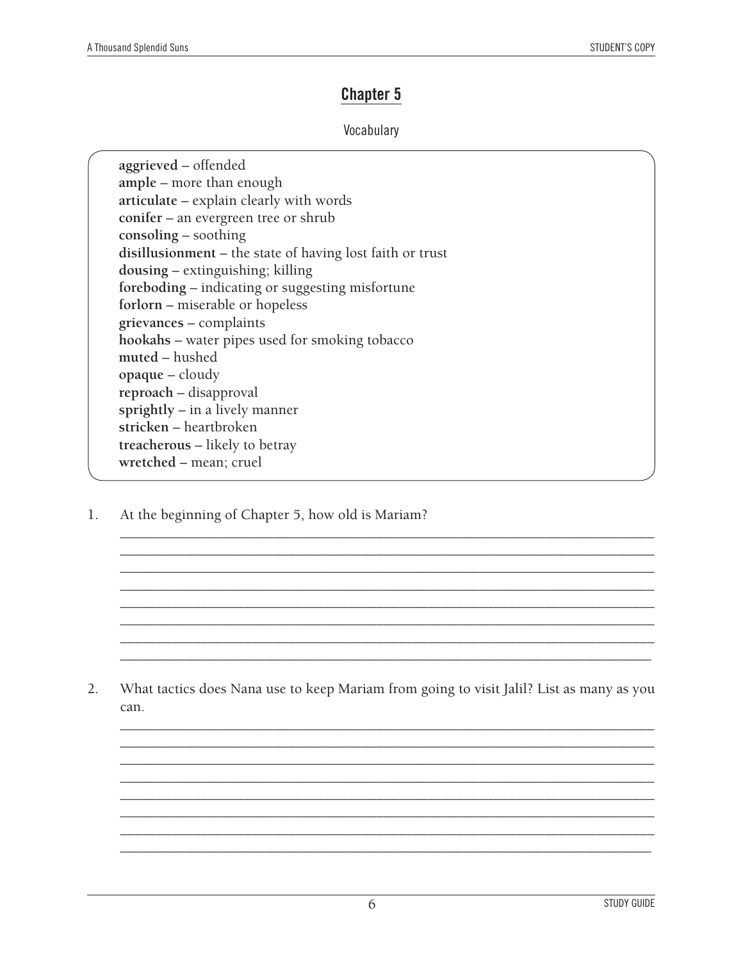### **Chapter 5**

#### Vocabulary

**aggrieved** – offended **ample** – more than enough **articulate** – explain clearly with words **conifer** – an evergreen tree or shrub **consoling** – soothing **disillusionment** – the state of having lost faith or trust **dousing** – extinguishing; killing **foreboding** – indicating or suggesting misfortune **forlorn** – miserable or hopeless **grievances** – complaints **hookahs** – water pipes used for smoking tobacco **muted** – hushed **opaque** – cloudy **reproach** – disapproval **sprightly** – in a lively manner **stricken** – heartbroken **treacherous** – likely to betray **wretched** – mean; cruel

1. At the beginning of Chapter 5, how old is Mariam?

2. What tactics does Nana use to keep Mariam from going to visit Jalil? List as many as you can.

\_\_\_\_\_\_\_\_\_\_\_\_\_\_\_\_\_\_\_\_\_\_\_\_\_\_\_\_\_\_\_\_\_\_\_\_\_\_\_\_\_\_\_\_\_\_\_\_\_\_\_\_\_\_\_\_\_\_\_\_\_\_\_\_\_\_\_\_\_\_\_\_\_ \_\_\_\_\_\_\_\_\_\_\_\_\_\_\_\_\_\_\_\_\_\_\_\_\_\_\_\_\_\_\_\_\_\_\_\_\_\_\_\_\_\_\_\_\_\_\_\_\_\_\_\_\_\_\_\_\_\_\_\_\_\_\_\_\_\_\_\_\_\_\_\_\_ \_\_\_\_\_\_\_\_\_\_\_\_\_\_\_\_\_\_\_\_\_\_\_\_\_\_\_\_\_\_\_\_\_\_\_\_\_\_\_\_\_\_\_\_\_\_\_\_\_\_\_\_\_\_\_\_\_\_\_\_\_\_\_\_\_\_\_\_\_\_\_\_\_ \_\_\_\_\_\_\_\_\_\_\_\_\_\_\_\_\_\_\_\_\_\_\_\_\_\_\_\_\_\_\_\_\_\_\_\_\_\_\_\_\_\_\_\_\_\_\_\_\_\_\_\_\_\_\_\_\_\_\_\_\_\_\_\_\_\_\_\_\_\_\_\_\_ \_\_\_\_\_\_\_\_\_\_\_\_\_\_\_\_\_\_\_\_\_\_\_\_\_\_\_\_\_\_\_\_\_\_\_\_\_\_\_\_\_\_\_\_\_\_\_\_\_\_\_\_\_\_\_\_\_\_\_\_\_\_\_\_\_\_\_\_\_\_\_\_\_ \_\_\_\_\_\_\_\_\_\_\_\_\_\_\_\_\_\_\_\_\_\_\_\_\_\_\_\_\_\_\_\_\_\_\_\_\_\_\_\_\_\_\_\_\_\_\_\_\_\_\_\_\_\_\_\_\_\_\_\_\_\_\_\_\_\_\_\_\_\_\_\_\_ \_\_\_\_\_\_\_\_\_\_\_\_\_\_\_\_\_\_\_\_\_\_\_\_\_\_\_\_\_\_\_\_\_\_\_\_\_\_\_\_\_\_\_\_\_\_\_\_\_\_\_\_\_\_\_\_\_\_\_\_\_\_\_\_\_\_\_\_\_\_\_\_\_ \_\_\_\_\_\_\_\_\_\_\_\_\_\_\_\_\_\_\_\_\_\_\_\_\_\_\_\_\_\_\_\_\_\_\_\_\_\_\_\_\_\_\_\_\_\_\_\_\_\_\_\_\_\_\_\_\_\_\_\_\_\_\_\_\_\_\_\_\_\_\_\_\_

\_\_\_\_\_\_\_\_\_\_\_\_\_\_\_\_\_\_\_\_\_\_\_\_\_\_\_\_\_\_\_\_\_\_\_\_\_\_\_\_\_\_\_\_\_\_\_\_\_\_\_\_\_\_\_\_\_\_\_\_\_\_\_\_\_\_\_\_\_\_\_\_\_ \_\_\_\_\_\_\_\_\_\_\_\_\_\_\_\_\_\_\_\_\_\_\_\_\_\_\_\_\_\_\_\_\_\_\_\_\_\_\_\_\_\_\_\_\_\_\_\_\_\_\_\_\_\_\_\_\_\_\_\_\_\_\_\_\_\_\_\_\_\_\_\_\_ \_\_\_\_\_\_\_\_\_\_\_\_\_\_\_\_\_\_\_\_\_\_\_\_\_\_\_\_\_\_\_\_\_\_\_\_\_\_\_\_\_\_\_\_\_\_\_\_\_\_\_\_\_\_\_\_\_\_\_\_\_\_\_\_\_\_\_\_\_\_\_\_\_ \_\_\_\_\_\_\_\_\_\_\_\_\_\_\_\_\_\_\_\_\_\_\_\_\_\_\_\_\_\_\_\_\_\_\_\_\_\_\_\_\_\_\_\_\_\_\_\_\_\_\_\_\_\_\_\_\_\_\_\_\_\_\_\_\_\_\_\_\_\_\_\_\_ \_\_\_\_\_\_\_\_\_\_\_\_\_\_\_\_\_\_\_\_\_\_\_\_\_\_\_\_\_\_\_\_\_\_\_\_\_\_\_\_\_\_\_\_\_\_\_\_\_\_\_\_\_\_\_\_\_\_\_\_\_\_\_\_\_\_\_\_\_\_\_\_\_ \_\_\_\_\_\_\_\_\_\_\_\_\_\_\_\_\_\_\_\_\_\_\_\_\_\_\_\_\_\_\_\_\_\_\_\_\_\_\_\_\_\_\_\_\_\_\_\_\_\_\_\_\_\_\_\_\_\_\_\_\_\_\_\_\_\_\_\_\_\_\_\_\_ \_\_\_\_\_\_\_\_\_\_\_\_\_\_\_\_\_\_\_\_\_\_\_\_\_\_\_\_\_\_\_\_\_\_\_\_\_\_\_\_\_\_\_\_\_\_\_\_\_\_\_\_\_\_\_\_\_\_\_\_\_\_\_\_\_\_\_\_\_\_\_\_\_ \_\_\_\_\_\_\_\_\_\_\_\_\_\_\_\_\_\_\_\_\_\_\_\_\_\_\_\_\_\_\_\_\_\_\_\_\_\_\_\_\_\_\_\_\_\_\_\_\_\_\_\_\_\_\_\_\_\_\_\_\_\_\_\_\_\_\_\_\_\_\_\_\_